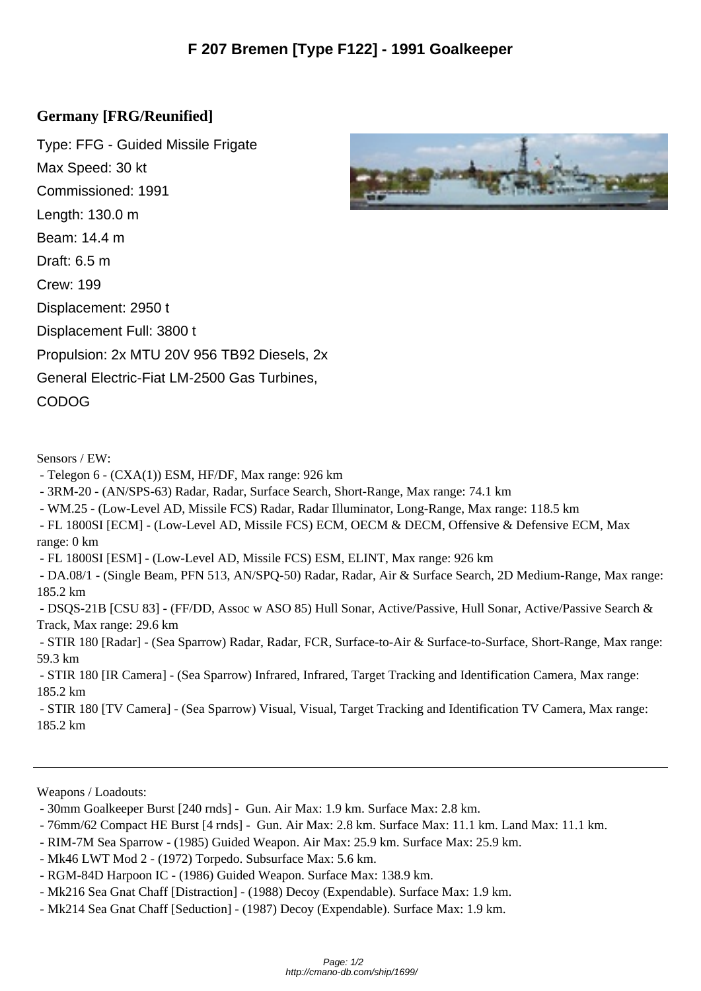## **Germany [FRG/Reuni[fied\]](http://cmano-db.com/ship/1699/)**

Type: FFG - Guided Missile Frigate Max Speed: 30 kt Commissioned: 1991 Length: 130.0 m Beam: 14.4 m Draft: 6.5 m Crew: 199 Displacement: 2950 t Displacement Full: 3800 t Propulsion: 2x MTU 20V 956 TB92 Diesels, 2x General Electric-Fiat LM-2500 Gas Turbines, CODOG

Sensors / EW:

- Telegon 6 (CXA(1)) ESM, HF/DF, Max range: 926 km
- 3RM-20 (AN/SPS-63) Radar, Radar, Surface Search, Short-Range, Max range: 74.1 km
- WM.25 (Low-Level AD, Missile FCS) Radar, Radar Illuminator, Long-Range, Max range: 118.5 km
- FL 1800SI [ECM] (Low-Level AD, Missile FCS) ECM, OECM & DECM, Offensive & Defensive ECM, Max range: 0 km
- FL 1800SI [ESM] (Low-Level AD, Missile FCS) ESM, ELINT, Max range: 926 km
- DA.08/1 (Single Beam, PFN 513, AN/SPQ-50) Radar, Radar, Air & Surface Search, 2D Medium-Range, Max range: 185.2 km

 - DSQS-21B [CSU 83] - (FF/DD, Assoc w ASO 85) Hull Sonar, Active/Passive, Hull Sonar, Active/Passive Search & Track, Max range: 29.6 km

 - STIR 180 [Radar] - (Sea Sparrow) Radar, Radar, FCR, Surface-to-Air & Surface-to-Surface, Short-Range, Max range: 59.3 km

 - STIR 180 [IR Camera] - (Sea Sparrow) Infrared, Infrared, Target Tracking and Identification Camera, Max range: 185.2 km

 - STIR 180 [TV Camera] - (Sea Sparrow) Visual, Visual, Target Tracking and Identification TV Camera, Max range: 185.2 km

Weapons / Loadouts:

- 30mm Goalkeeper Burst [240 rnds] Gun. Air Max: 1.9 km. Surface Max: 2.8 km.
- 76mm/62 Compact HE Burst [4 rnds] Gun. Air Max: 2.8 km. Surface Max: 11.1 km. Land Max: 11.1 km.
- RIM-7M Sea Sparrow (1985) Guided Weapon. Air Max: 25.9 km. Surface Max: 25.9 km.
- Mk46 LWT Mod 2 (1972) Torpedo. Subsurface Max: 5.6 km.
- RGM-84D Harpoon IC (1986) Guided Weapon. Surface Max: 138.9 km.
- Mk216 Sea Gnat Chaff [Distraction] (1988) Decoy (Expendable). Surface Max: 1.9 km.
- Mk214 Sea Gnat Chaff [Seduction] (1987) Decoy (Expendable). Surface Max: 1.9 km.